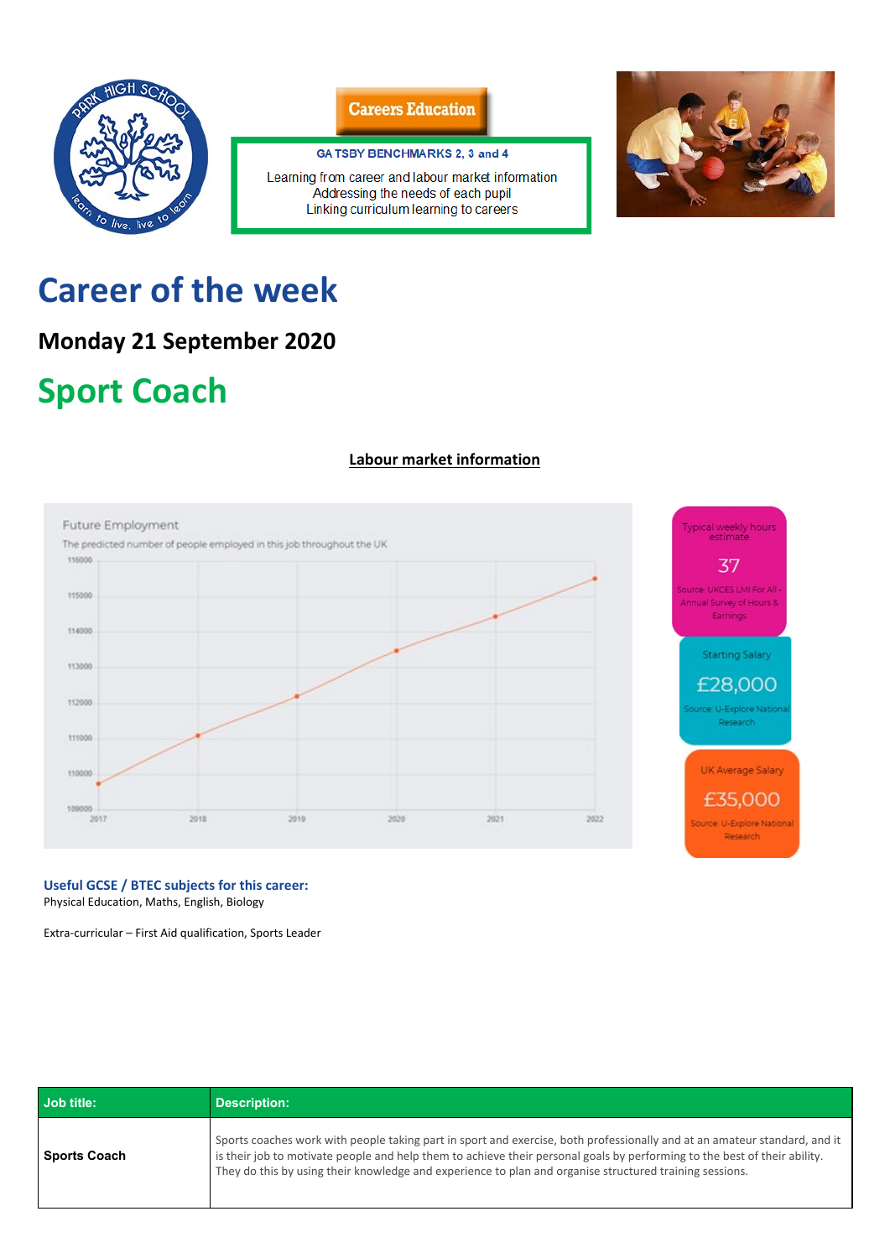

### **Careers Education**

#### GA TSBY BENCHMARKS 2, 3 and 4

Learning from career and labour market information Addressing the needs of each pupil Linking curriculum learning to careers



# **Career of the week**

## **Monday 21 September 2020**

# **Sport Coach**

### **Labour market information**



Typical weekly hours<br>estimate 37

Source: UKCES LMI For All Annual Survey of Hours & Earnings

**Starting Salary** 

£28,000

ource: U-Explore Nation Research

**UK Average Salary** 

£35,000

Source: U-Explore National Research

**Useful GCSE / BTEC subjects for this career:**

Physical Education, Maths, English, Biology

Extra-curricular – First Aid qualification, Sports Leader

| Job title:   | <b>Description:</b>                                                                                                                                                                                                                                                                                                                                               |
|--------------|-------------------------------------------------------------------------------------------------------------------------------------------------------------------------------------------------------------------------------------------------------------------------------------------------------------------------------------------------------------------|
| Sports Coach | Sports coaches work with people taking part in sport and exercise, both professionally and at an amateur standard, and it<br>is their job to motivate people and help them to achieve their personal goals by performing to the best of their ability.<br>They do this by using their knowledge and experience to plan and organise structured training sessions. |